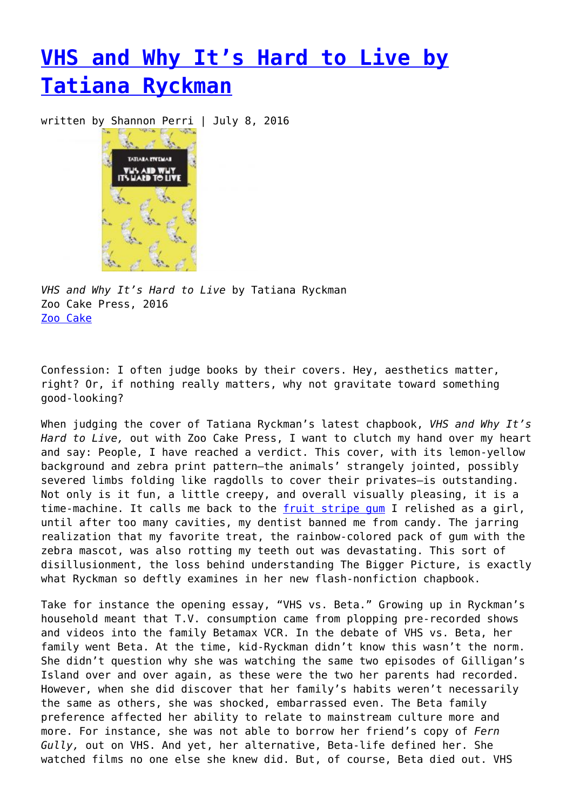## **[VHS and Why It's Hard to Live by](https://entropymag.org/vhs-and-why-its-hard-to-live-by-tatiana-ryckman/) [Tatiana Ryckman](https://entropymag.org/vhs-and-why-its-hard-to-live-by-tatiana-ryckman/)**

written by Shannon Perri | July 8, 2016



*VHS and Why It's Hard to Live* by Tatiana Ryckman Zoo Cake Press, 2016 [Zoo Cake](http://zoocakepress.com/post/143990705134/vhs-why-its-hard-to-live)

Confession: I often judge books by their covers. Hey, aesthetics matter, right? Or, if nothing really matters, why not gravitate toward something good-looking?

When judging the cover of Tatiana Ryckman's latest chapbook, *VHS and Why It's Hard to Live,* out with Zoo Cake Press, I want to clutch my hand over my heart and say: People, I have reached a verdict. This cover, with its lemon-yellow background and zebra print pattern—the animals' strangely jointed, possibly severed limbs folding like ragdolls to cover their privates—is outstanding. Not only is it fun, a little creepy, and overall visually pleasing, it is a time-machine. It calls me back to the [fruit stripe gum](https://www.youtube.com/watch?v=rSTGOyDFPrU) I relished as a girl, until after too many cavities, my dentist banned me from candy. The jarring realization that my favorite treat, the rainbow-colored pack of gum with the zebra mascot, was also rotting my teeth out was devastating. This sort of disillusionment, the loss behind understanding The Bigger Picture, is exactly what Ryckman so deftly examines in her new flash-nonfiction chapbook.

Take for instance the opening essay, "VHS vs. Beta." Growing up in Ryckman's household meant that T.V. consumption came from plopping pre-recorded shows and videos into the family Betamax VCR. In the debate of VHS vs. Beta, her family went Beta. At the time, kid-Ryckman didn't know this wasn't the norm. She didn't question why she was watching the same two episodes of Gilligan's Island over and over again, as these were the two her parents had recorded. However, when she did discover that her family's habits weren't necessarily the same as others, she was shocked, embarrassed even. The Beta family preference affected her ability to relate to mainstream culture more and more. For instance, she was not able to borrow her friend's copy of *Fern Gully,* out on VHS. And yet, her alternative, Beta-life defined her. She watched films no one else she knew did. But, of course, Beta died out. VHS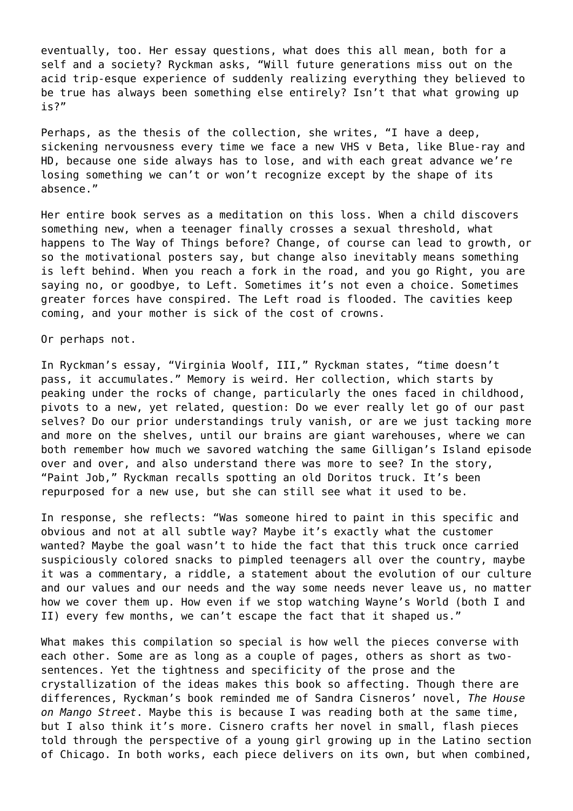eventually, too. Her essay questions, what does this all mean, both for a self and a society? Ryckman asks, "Will future generations miss out on the acid trip-esque experience of suddenly realizing everything they believed to be true has always been something else entirely? Isn't that what growing up is?"

Perhaps, as the thesis of the collection, she writes, "I have a deep, sickening nervousness every time we face a new VHS v Beta, like Blue-ray and HD, because one side always has to lose, and with each great advance we're losing something we can't or won't recognize except by the shape of its absence."

Her entire book serves as a meditation on this loss. When a child discovers something new, when a teenager finally crosses a sexual threshold, what happens to The Way of Things before? Change, of course can lead to growth, or so the motivational posters say, but change also inevitably means something is left behind. When you reach a fork in the road, and you go Right, you are saying no, or goodbye, to Left. Sometimes it's not even a choice. Sometimes greater forces have conspired. The Left road is flooded. The cavities keep coming, and your mother is sick of the cost of crowns.

Or perhaps not.

In Ryckman's essay, "Virginia Woolf, III," Ryckman states, "time doesn't pass, it accumulates." Memory is weird. Her collection, which starts by peaking under the rocks of change, particularly the ones faced in childhood, pivots to a new, yet related, question: Do we ever really let go of our past selves? Do our prior understandings truly vanish, or are we just tacking more and more on the shelves, until our brains are giant warehouses, where we can both remember how much we savored watching the same Gilligan's Island episode over and over, and also understand there was more to see? In the story, "Paint Job," Ryckman recalls spotting an old Doritos truck. It's been repurposed for a new use, but she can still see what it used to be.

In response, she reflects: "Was someone hired to paint in this specific and obvious and not at all subtle way? Maybe it's exactly what the customer wanted? Maybe the goal wasn't to hide the fact that this truck once carried suspiciously colored snacks to pimpled teenagers all over the country, maybe it was a commentary, a riddle, a statement about the evolution of our culture and our values and our needs and the way some needs never leave us, no matter how we cover them up. How even if we stop watching Wayne's World (both I and II) every few months, we can't escape the fact that it shaped us."

What makes this compilation so special is how well the pieces converse with each other. Some are as long as a couple of pages, others as short as twosentences. Yet the tightness and specificity of the prose and the crystallization of the ideas makes this book so affecting. Though there are differences, Ryckman's book reminded me of Sandra Cisneros' novel, *The House on Mango Street*. Maybe this is because I was reading both at the same time, but I also think it's more. Cisnero crafts her novel in small, flash pieces told through the perspective of a young girl growing up in the Latino section of Chicago. In both works, each piece delivers on its own, but when combined,